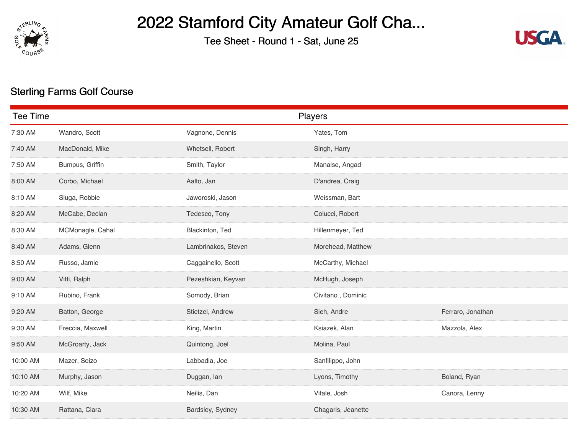

## 2022 Stamford City Amateur Golf Cha...

Tee Sheet - Round 1 - Sat, June 25



## Sterling Farms Golf Course

| <b>Tee Time</b> |                  |                     | Players            |                   |
|-----------------|------------------|---------------------|--------------------|-------------------|
| 7:30 AM         | Wandro, Scott    | Vagnone, Dennis     | Yates, Tom         |                   |
| 7:40 AM         | MacDonald, Mike  | Whetsell, Robert    | Singh, Harry       |                   |
| 7:50 AM         | Bumpus, Griffin  | Smith, Taylor       | Manaise, Angad     |                   |
| 8:00 AM         | Corbo, Michael   | Aalto, Jan          | D'andrea, Craig    |                   |
| 8:10 AM         | Sluga, Robbie    | Jaworoski, Jason    | Weissman, Bart     |                   |
| 8:20 AM         | McCabe, Declan   | Tedesco, Tony       | Colucci, Robert    |                   |
| 8:30 AM         | MCMonagle, Cahal | Blackinton, Ted     | Hillenmeyer, Ted   |                   |
| 8:40 AM         | Adams, Glenn     | Lambrinakos, Steven | Morehead, Matthew  |                   |
| 8:50 AM         | Russo, Jamie     | Caggainello, Scott  | McCarthy, Michael  |                   |
| 9:00 AM         | Vitti, Ralph     | Pezeshkian, Keyvan  | McHugh, Joseph     |                   |
| 9:10 AM         | Rubino, Frank    | Somody, Brian       | Civitano, Dominic  |                   |
| 9:20 AM         | Batton, George   | Stietzel, Andrew    | Sieh, Andre        | Ferraro, Jonathan |
| 9:30 AM         | Freccia, Maxwell | King, Martin        | Ksiazek, Alan      | Mazzola, Alex     |
| 9:50 AM         | McGroarty, Jack  | Quintong, Joel      | Molina, Paul       |                   |
| 10:00 AM        | Mazer, Seizo     | Labbadia, Joe       | Sanfilippo, John   |                   |
| 10:10 AM        | Murphy, Jason    | Duggan, lan         | Lyons, Timothy     | Boland, Ryan      |
| 10:20 AM        | Wilf, Mike       | Neilis, Dan         | Vitale, Josh       | Canora, Lenny     |
| 10:30 AM        | Rattana, Ciara   | Bardsley, Sydney    | Chagaris, Jeanette |                   |